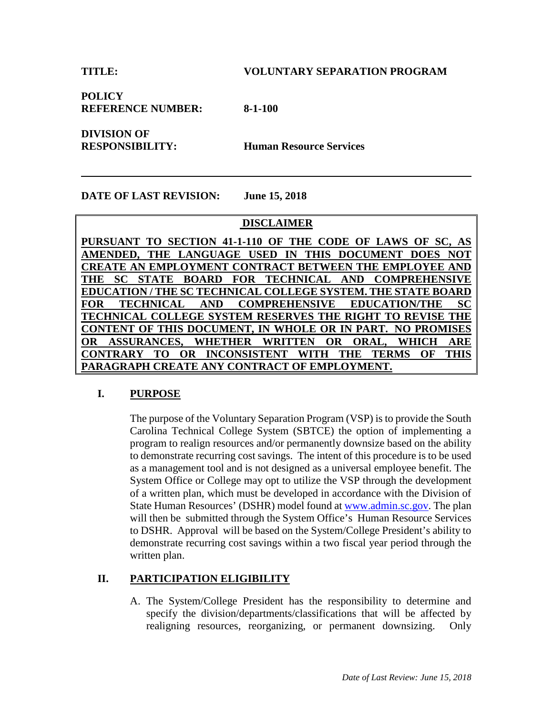**POLICY REFERENCE NUMBER: 8-1-100**

**DIVISION OF** 

**RESPONSIBILITY: Human Resource Services**

### **DATE OF LAST REVISION: June 15, 2018**

### **DISCLAIMER**

**PURSUANT TO SECTION 41-1-110 OF THE CODE OF LAWS OF SC, AS AMENDED, THE LANGUAGE USED IN THIS DOCUMENT DOES NOT CREATE AN EMPLOYMENT CONTRACT BETWEEN THE EMPLOYEE AND THE SC STATE BOARD FOR TECHNICAL AND COMPREHENSIVE EDUCATION / THE SC TECHNICAL COLLEGE SYSTEM. THE STATE BOARD FOR TECHNICAL AND COMPREHENSIVE EDUCATION/THE SC TECHNICAL COLLEGE SYSTEM RESERVES THE RIGHT TO REVISE THE CONTENT OF THIS DOCUMENT, IN WHOLE OR IN PART. NO PROMISES OR ASSURANCES, WHETHER WRITTEN OR ORAL, WHICH ARE CONTRARY TO OR INCONSISTENT WITH THE TERMS OF THIS PARAGRAPH CREATE ANY CONTRACT OF EMPLOYMENT.**

### **I. PURPOSE**

The purpose of the Voluntary Separation Program (VSP) is to provide the South Carolina Technical College System (SBTCE) the option of implementing a program to realign resources and/or permanently downsize based on the ability to demonstrate recurring cost savings. The intent of this procedure is to be used as a management tool and is not designed as a universal employee benefit. The System Office or College may opt to utilize the VSP through the development of a written plan, which must be developed in accordance with the Division of State Human Resources' (DSHR) model found at www.admin.sc.gov. The plan will then be submitted through the System Office's Human Resource Services to DSHR. Approval will be based on the System/College President's ability to demonstrate recurring cost savings within a two fiscal year period through the written plan.

# **II. PARTICIPATION ELIGIBILITY**

A. The System/College President has the responsibility to determine and specify the division/departments/classifications that will be affected by realigning resources, reorganizing, or permanent downsizing. Only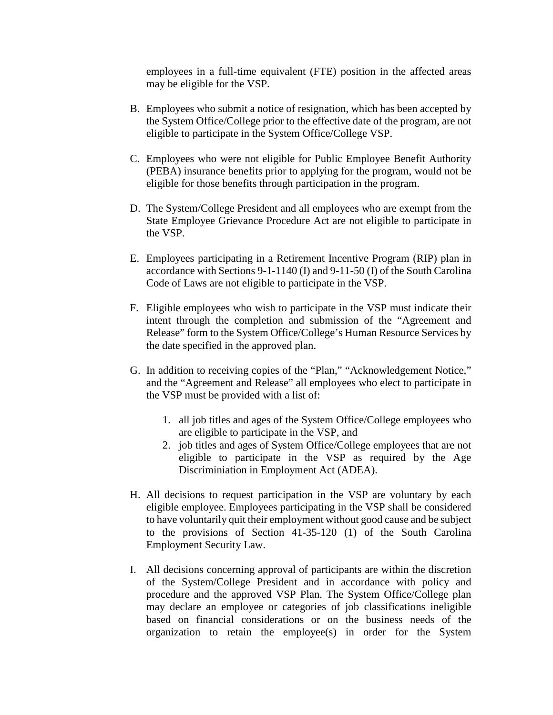employees in a full-time equivalent (FTE) position in the affected areas may be eligible for the VSP.

- B. Employees who submit a notice of resignation, which has been accepted by the System Office/College prior to the effective date of the program, are not eligible to participate in the System Office/College VSP.
- C. Employees who were not eligible for Public Employee Benefit Authority (PEBA) insurance benefits prior to applying for the program, would not be eligible for those benefits through participation in the program.
- D. The System/College President and all employees who are exempt from the State Employee Grievance Procedure Act are not eligible to participate in the VSP.
- E. Employees participating in a Retirement Incentive Program (RIP) plan in accordance with Sections 9-1-1140 (I) and 9-11-50 (I) of the South Carolina Code of Laws are not eligible to participate in the VSP.
- F. Eligible employees who wish to participate in the VSP must indicate their intent through the completion and submission of the "Agreement and Release" form to the System Office/College's Human Resource Services by the date specified in the approved plan.
- G. In addition to receiving copies of the "Plan," "Acknowledgement Notice," and the "Agreement and Release" all employees who elect to participate in the VSP must be provided with a list of:
	- 1. all job titles and ages of the System Office/College employees who are eligible to participate in the VSP, and
	- 2. job titles and ages of System Office/College employees that are not eligible to participate in the VSP as required by the Age Discriminiation in Employment Act (ADEA).
- H. All decisions to request participation in the VSP are voluntary by each eligible employee. Employees participating in the VSP shall be considered to have voluntarily quit their employment without good cause and be subject to the provisions of Section 41-35-120 (1) of the South Carolina Employment Security Law.
- I. All decisions concerning approval of participants are within the discretion of the System/College President and in accordance with policy and procedure and the approved VSP Plan. The System Office/College plan may declare an employee or categories of job classifications ineligible based on financial considerations or on the business needs of the organization to retain the employee(s) in order for the System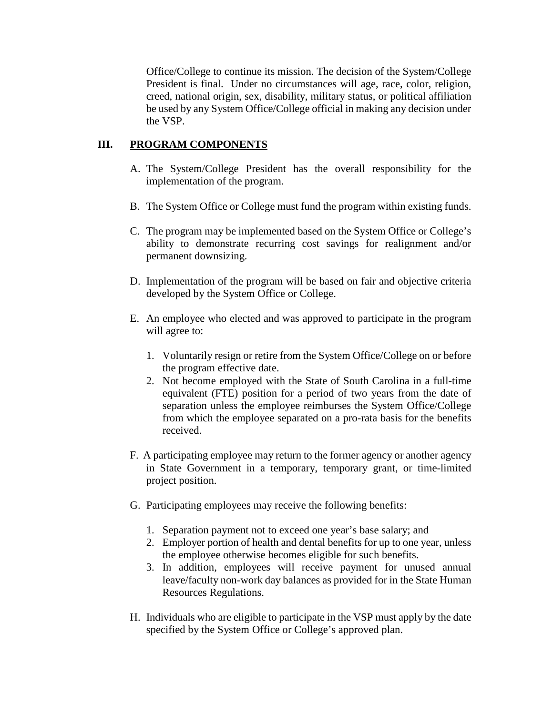Office/College to continue its mission. The decision of the System/College President is final. Under no circumstances will age, race, color, religion, creed, national origin, sex, disability, military status, or political affiliation be used by any System Office/College official in making any decision under the VSP.

# **III. PROGRAM COMPONENTS**

- A. The System/College President has the overall responsibility for the implementation of the program.
- B. The System Office or College must fund the program within existing funds.
- C. The program may be implemented based on the System Office or College's ability to demonstrate recurring cost savings for realignment and/or permanent downsizing.
- D. Implementation of the program will be based on fair and objective criteria developed by the System Office or College.
- E. An employee who elected and was approved to participate in the program will agree to:
	- 1. Voluntarily resign or retire from the System Office/College on or before the program effective date.
	- 2. Not become employed with the State of South Carolina in a full-time equivalent (FTE) position for a period of two years from the date of separation unless the employee reimburses the System Office/College from which the employee separated on a pro-rata basis for the benefits received.
- F. A participating employee may return to the former agency or another agency in State Government in a temporary, temporary grant, or time-limited project position.
- G. Participating employees may receive the following benefits:
	- 1. Separation payment not to exceed one year's base salary; and
	- 2. Employer portion of health and dental benefits for up to one year, unless the employee otherwise becomes eligible for such benefits.
	- 3. In addition, employees will receive payment for unused annual leave/faculty non-work day balances as provided for in the State Human Resources Regulations.
- H. Individuals who are eligible to participate in the VSP must apply by the date specified by the System Office or College's approved plan.